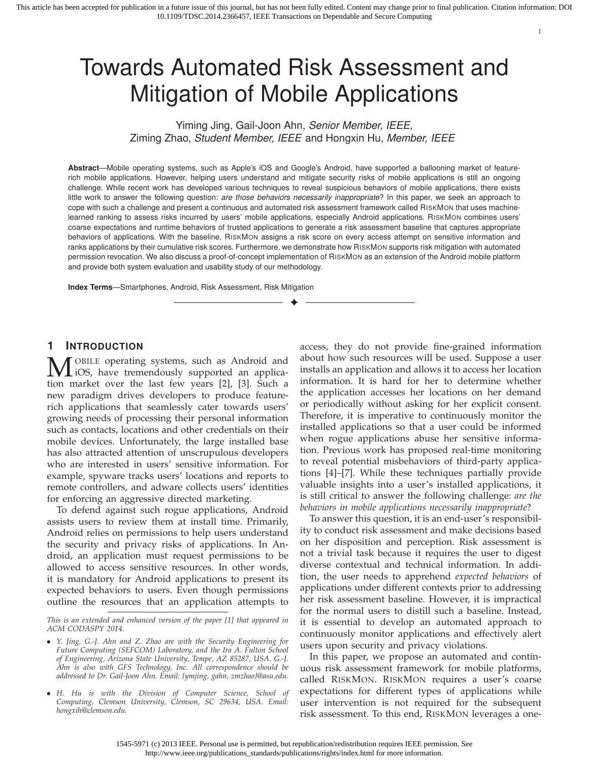# Towards Automated Risk Assessment and Mitigation of Mobile Applications

Yiming Jing, Gail-Joon Ahn, Senior Member, IEEE, Ziming Zhao, Student Member, IEEE and Hongxin Hu, Member, IEEE

**Abstract**—Mobile operating systems, such as Apple's iOS and Google's Android, have supported a ballooning market of featurerich mobile applications. However, helping users understand and mitigate security risks of mobile applications is still an ongoing challenge. While recent work has developed various techniques to reveal suspicious behaviors of mobile applications, there exists little work to answer the following question: are those behaviors necessarily inappropriate? In this paper, we seek an approach to cope with such a challenge and present a continuous and automated risk assessment framework called RISKMON that uses machinelearned ranking to assess risks incurred by users' mobile applications, especially Android applications. RISKMON combines users' coarse expectations and runtime behaviors of trusted applications to generate a risk assessment baseline that captures appropriate behaviors of applications. With the baseline, RISKMON assigns a risk score on every access attempt on sensitive information and ranks applications by their cumulative risk scores. Furthermore, we demonstrate how RISKMON supports risk mitigation with automated permission revocation. We also discuss a proof-of-concept implementation of RISKMON as an extension of the Android mobile platform and provide both system evaluation and usability study of our methodology.

✦

**Index Terms**—Smartphones, Android, Risk Assessment, Risk Mitigation

## **1 INTRODUCTION**

OBILE operating systems, such as Android and iOS, have tremendously supported an application market over the last few years [2], [3]. Such a new paradigm drives developers to produce featurerich applications that seamlessly cater towards users' growing needs of processing their personal information such as contacts, locations and other credentials on their mobile devices. Unfortunately, the large installed base has also attracted attention of unscrupulous developers who are interested in users' sensitive information. For example, spyware tracks users' locations and reports to remote controllers, and adware collects users' identities for enforcing an aggressive directed marketing.

To defend against such rogue applications, Android assists users to review them at install time. Primarily, Android relies on permissions to help users understand the security and privacy risks of applications. In Android, an application must request permissions to be allowed to access sensitive resources. In other words, it is mandatory for Android applications to present its expected behaviors to users. Even though permissions outline the resources that an application attempts to

• *H. Hu is with the Division of Computer Science, School of Computing, Clemson University, Clemson, SC 29634, USA. Email: hongxih@clemson.edu.*

access, they do not provide fine-grained information about how such resources will be used. Suppose a user installs an application and allows it to access her location information. It is hard for her to determine whether the application accesses her locations on her demand or periodically without asking for her explicit consent. Therefore, it is imperative to continuously monitor the installed applications so that a user could be informed when rogue applications abuse her sensitive information. Previous work has proposed real-time monitoring to reveal potential misbehaviors of third-party applications [4]–[7]. While these techniques partially provide valuable insights into a user's installed applications, it is still critical to answer the following challenge: *are the behaviors in mobile applications necessarily inappropriate*?

1

To answer this question, it is an end-user's responsibility to conduct risk assessment and make decisions based on her disposition and perception. Risk assessment is not a trivial task because it requires the user to digest diverse contextual and technical information. In addition, the user needs to apprehend *expected behaviors* of applications under different contexts prior to addressing her risk assessment baseline. However, it is impractical for the normal users to distill such a baseline. Instead, it is essential to develop an automated approach to continuously monitor applications and effectively alert users upon security and privacy violations.

In this paper, we propose an automated and continuous risk assessment framework for mobile platforms, called RISKMON. RISKMON requires a user's coarse expectations for different types of applications while user intervention is not required for the subsequent risk assessment. To this end, RISKMON leverages a one-

*This is an extended and enhanced version of the paper [1] that appeared in ACM CODASPY 2014.*

<sup>•</sup> *Y. Jing, G.-J. Ahn and Z. Zhao are with the Security Engineering for Future Computing (SEFCOM) Laboratory, and the Ira A. Fulton School of Engineering, Arizona State University, Tempe, AZ 85287, USA. G.-J. Ahn is also with GFS Technology, Inc. All correspondence should be addressed to Dr. Gail-Joon Ahn. Email: {ymjing, gahn, zmzhao}@asu.edu.*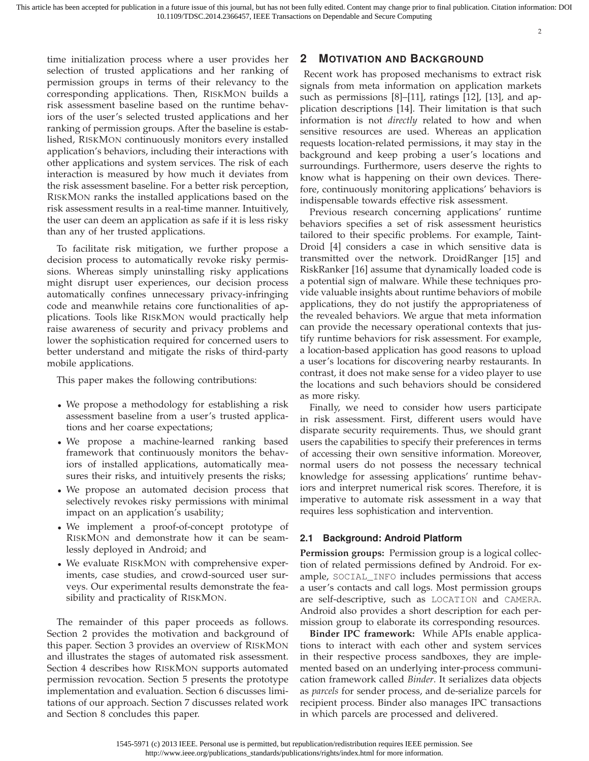time initialization process where a user provides her selection of trusted applications and her ranking of permission groups in terms of their relevancy to the corresponding applications. Then, RISKMON builds a risk assessment baseline based on the runtime behaviors of the user's selected trusted applications and her ranking of permission groups. After the baseline is established, RISKMON continuously monitors every installed application's behaviors, including their interactions with other applications and system services. The risk of each interaction is measured by how much it deviates from the risk assessment baseline. For a better risk perception, RISKMON ranks the installed applications based on the risk assessment results in a real-time manner. Intuitively, the user can deem an application as safe if it is less risky than any of her trusted applications.

To facilitate risk mitigation, we further propose a decision process to automatically revoke risky permissions. Whereas simply uninstalling risky applications might disrupt user experiences, our decision process automatically confines unnecessary privacy-infringing code and meanwhile retains core functionalities of applications. Tools like RISKMON would practically help raise awareness of security and privacy problems and lower the sophistication required for concerned users to better understand and mitigate the risks of third-party mobile applications.

This paper makes the following contributions:

- We propose a methodology for establishing a risk assessment baseline from a user's trusted applications and her coarse expectations;
- We propose a machine-learned ranking based framework that continuously monitors the behaviors of installed applications, automatically measures their risks, and intuitively presents the risks;
- We propose an automated decision process that selectively revokes risky permissions with minimal impact on an application's usability;
- We implement a proof-of-concept prototype of RISKMON and demonstrate how it can be seamlessly deployed in Android; and
- We evaluate RISKMON with comprehensive experiments, case studies, and crowd-sourced user surveys. Our experimental results demonstrate the feasibility and practicality of RISKMON.

The remainder of this paper proceeds as follows. Section 2 provides the motivation and background of this paper. Section 3 provides an overview of RISKMON and illustrates the stages of automated risk assessment. Section 4 describes how RISKMON supports automated permission revocation. Section 5 presents the prototype implementation and evaluation. Section 6 discusses limitations of our approach. Section 7 discusses related work and Section 8 concludes this paper.

## **2 MOTIVATION AND BACKGROUND**

Recent work has proposed mechanisms to extract risk signals from meta information on application markets such as permissions [8]–[11], ratings [12], [13], and application descriptions [14]. Their limitation is that such information is not *directly* related to how and when sensitive resources are used. Whereas an application requests location-related permissions, it may stay in the background and keep probing a user's locations and surroundings. Furthermore, users deserve the rights to know what is happening on their own devices. Therefore, continuously monitoring applications' behaviors is indispensable towards effective risk assessment.

Previous research concerning applications' runtime behaviors specifies a set of risk assessment heuristics tailored to their specific problems. For example, Taint-Droid [4] considers a case in which sensitive data is transmitted over the network. DroidRanger [15] and RiskRanker [16] assume that dynamically loaded code is a potential sign of malware. While these techniques provide valuable insights about runtime behaviors of mobile applications, they do not justify the appropriateness of the revealed behaviors. We argue that meta information can provide the necessary operational contexts that justify runtime behaviors for risk assessment. For example, a location-based application has good reasons to upload a user's locations for discovering nearby restaurants. In contrast, it does not make sense for a video player to use the locations and such behaviors should be considered as more risky.

Finally, we need to consider how users participate in risk assessment. First, different users would have disparate security requirements. Thus, we should grant users the capabilities to specify their preferences in terms of accessing their own sensitive information. Moreover, normal users do not possess the necessary technical knowledge for assessing applications' runtime behaviors and interpret numerical risk scores. Therefore, it is imperative to automate risk assessment in a way that requires less sophistication and intervention.

#### **2.1 Background: Android Platform**

**Permission groups:** Permission group is a logical collection of related permissions defined by Android. For example, SOCIAL\_INFO includes permissions that access a user's contacts and call logs. Most permission groups are self-descriptive, such as LOCATION and CAMERA. Android also provides a short description for each permission group to elaborate its corresponding resources.

**Binder IPC framework:** While APIs enable applications to interact with each other and system services in their respective process sandboxes, they are implemented based on an underlying inter-process communication framework called *Binder*. It serializes data objects as *parcels* for sender process, and de-serialize parcels for recipient process. Binder also manages IPC transactions in which parcels are processed and delivered.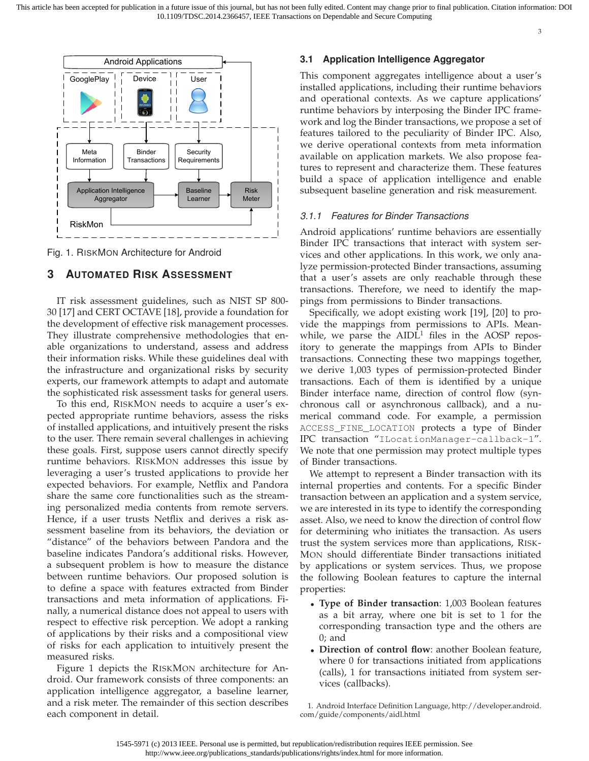

Fig. 1. RISKMON Architecture for Android

# **3 AUTOMATED RISK ASSESSMENT**

IT risk assessment guidelines, such as NIST SP 800- 30 [17] and CERT OCTAVE [18], provide a foundation for the development of effective risk management processes. They illustrate comprehensive methodologies that enable organizations to understand, assess and address their information risks. While these guidelines deal with the infrastructure and organizational risks by security experts, our framework attempts to adapt and automate the sophisticated risk assessment tasks for general users.

To this end, RISKMON needs to acquire a user's expected appropriate runtime behaviors, assess the risks of installed applications, and intuitively present the risks to the user. There remain several challenges in achieving these goals. First, suppose users cannot directly specify runtime behaviors. RISKMON addresses this issue by leveraging a user's trusted applications to provide her expected behaviors. For example, Netflix and Pandora share the same core functionalities such as the streaming personalized media contents from remote servers. Hence, if a user trusts Netflix and derives a risk assessment baseline from its behaviors, the deviation or "distance" of the behaviors between Pandora and the baseline indicates Pandora's additional risks. However, a subsequent problem is how to measure the distance between runtime behaviors. Our proposed solution is to define a space with features extracted from Binder transactions and meta information of applications. Finally, a numerical distance does not appeal to users with respect to effective risk perception. We adopt a ranking of applications by their risks and a compositional view of risks for each application to intuitively present the measured risks.

Figure 1 depicts the RISKMON architecture for Android. Our framework consists of three components: an application intelligence aggregator, a baseline learner, and a risk meter. The remainder of this section describes each component in detail.

## **3.1 Application Intelligence Aggregator**

This component aggregates intelligence about a user's installed applications, including their runtime behaviors and operational contexts. As we capture applications' runtime behaviors by interposing the Binder IPC framework and log the Binder transactions, we propose a set of features tailored to the peculiarity of Binder IPC. Also, we derive operational contexts from meta information available on application markets. We also propose features to represent and characterize them. These features build a space of application intelligence and enable subsequent baseline generation and risk measurement.

# 3.1.1 Features for Binder Transactions

Android applications' runtime behaviors are essentially Binder IPC transactions that interact with system services and other applications. In this work, we only analyze permission-protected Binder transactions, assuming that a user's assets are only reachable through these transactions. Therefore, we need to identify the mappings from permissions to Binder transactions.

Specifically, we adopt existing work [19], [20] to provide the mappings from permissions to APIs. Meanwhile, we parse the  $AIDL<sup>1</sup>$  files in the AOSP repository to generate the mappings from APIs to Binder transactions. Connecting these two mappings together, we derive 1,003 types of permission-protected Binder transactions. Each of them is identified by a unique Binder interface name, direction of control flow (synchronous call or asynchronous callback), and a numerical command code. For example, a permission ACCESS\_FINE\_LOCATION protects a type of Binder IPC transaction "ILocationManager-callback-1". We note that one permission may protect multiple types of Binder transactions.

We attempt to represent a Binder transaction with its internal properties and contents. For a specific Binder transaction between an application and a system service, we are interested in its type to identify the corresponding asset. Also, we need to know the direction of control flow for determining who initiates the transaction. As users trust the system services more than applications, RISK-MON should differentiate Binder transactions initiated by applications or system services. Thus, we propose the following Boolean features to capture the internal properties:

- **Type of Binder transaction**: 1,003 Boolean features as a bit array, where one bit is set to 1 for the corresponding transaction type and the others are 0; and
- **Direction of control flow**: another Boolean feature, where 0 for transactions initiated from applications (calls), 1 for transactions initiated from system services (callbacks).

1. Android Interface Definition Language, [http://developer.android.](http://developer.android.com/guide/components/aidl.html) [com/guide/components/aidl.html](http://developer.android.com/guide/components/aidl.html)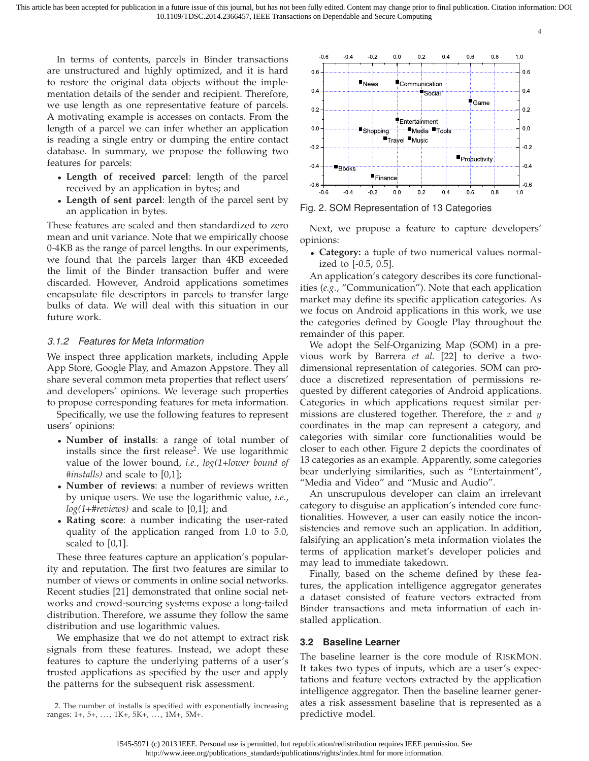4

In terms of contents, parcels in Binder transactions are unstructured and highly optimized, and it is hard to restore the original data objects without the implementation details of the sender and recipient. Therefore, we use length as one representative feature of parcels. A motivating example is accesses on contacts. From the length of a parcel we can infer whether an application is reading a single entry or dumping the entire contact database. In summary, we propose the following two features for parcels:

- **Length of received parcel**: length of the parcel received by an application in bytes; and
- **Length of sent parcel**: length of the parcel sent by an application in bytes.

These features are scaled and then standardized to zero mean and unit variance. Note that we empirically choose 0-4KB as the range of parcel lengths. In our experiments, we found that the parcels larger than 4KB exceeded the limit of the Binder transaction buffer and were discarded. However, Android applications sometimes encapsulate file descriptors in parcels to transfer large bulks of data. We will deal with this situation in our future work.

# 3.1.2 Features for Meta Information

We inspect three application markets, including Apple App Store, Google Play, and Amazon Appstore. They all share several common meta properties that reflect users' and developers' opinions. We leverage such properties to propose corresponding features for meta information.

Specifically, we use the following features to represent users' opinions:

- **Number of installs**: a range of total number of installs since the first release<sup>2</sup>. We use logarithmic value of the lower bound, *i.e.*, *log(1+lower bound of #installs)* and scale to [0,1];
- **Number of reviews**: a number of reviews written by unique users. We use the logarithmic value, *i.e.*, *log(1+#reviews)* and scale to [0,1]; and
- **Rating score**: a number indicating the user-rated quality of the application ranged from 1.0 to 5.0, scaled to [0,1].

These three features capture an application's popularity and reputation. The first two features are similar to number of views or comments in online social networks. Recent studies [21] demonstrated that online social networks and crowd-sourcing systems expose a long-tailed distribution. Therefore, we assume they follow the same distribution and use logarithmic values.

We emphasize that we do not attempt to extract risk signals from these features. Instead, we adopt these features to capture the underlying patterns of a user's trusted applications as specified by the user and apply the patterns for the subsequent risk assessment.



Fig. 2. SOM Representation of 13 Categories

Next, we propose a feature to capture developers' opinions:

• **Category:** a tuple of two numerical values normalized to [-0.5, 0.5].

An application's category describes its core functionalities (*e.g.*, "Communication"). Note that each application market may define its specific application categories. As we focus on Android applications in this work, we use the categories defined by Google Play throughout the remainder of this paper.

We adopt the Self-Organizing Map (SOM) in a previous work by Barrera *et al.* [22] to derive a twodimensional representation of categories. SOM can produce a discretized representation of permissions requested by different categories of Android applications. Categories in which applications request similar permissions are clustered together. Therefore, the  $x$  and  $y$ coordinates in the map can represent a category, and categories with similar core functionalities would be closer to each other. Figure 2 depicts the coordinates of 13 categories as an example. Apparently, some categories bear underlying similarities, such as "Entertainment", "Media and Video" and "Music and Audio".

An unscrupulous developer can claim an irrelevant category to disguise an application's intended core functionalities. However, a user can easily notice the inconsistencies and remove such an application. In addition, falsifying an application's meta information violates the terms of application market's developer policies and may lead to immediate takedown.

Finally, based on the scheme defined by these features, the application intelligence aggregator generates a dataset consisted of feature vectors extracted from Binder transactions and meta information of each installed application.

## **3.2 Baseline Learner**

The baseline learner is the core module of RISKMON. It takes two types of inputs, which are a user's expectations and feature vectors extracted by the application intelligence aggregator. Then the baseline learner generates a risk assessment baseline that is represented as a predictive model.

<sup>2.</sup> The number of installs is specified with exponentially increasing ranges:  $1+, 5+, \ldots, 1K+, 5K+, \ldots, 1M+, 5M+.$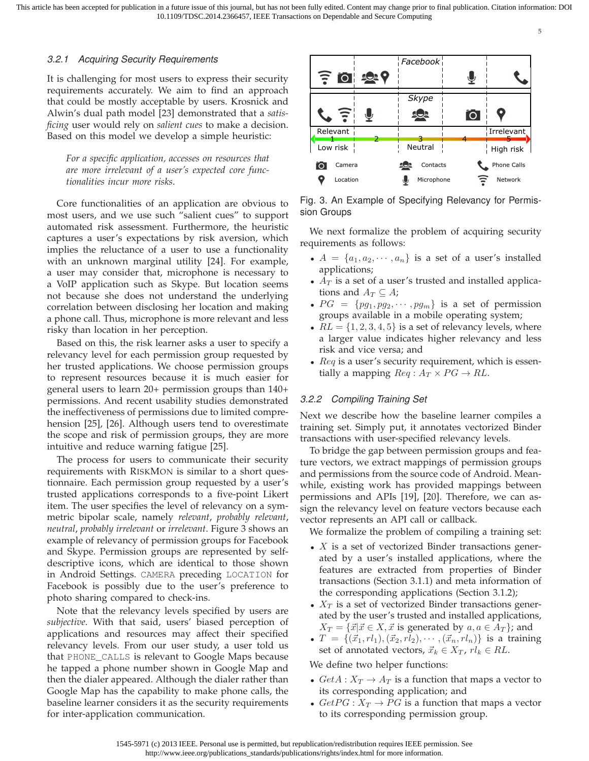# 3.2.1 Acquiring Security Requirements

It is challenging for most users to express their security requirements accurately. We aim to find an approach that could be mostly acceptable by users. Krosnick and Alwin's dual path model [23] demonstrated that a *satisficing* user would rely on *salient cues* to make a decision. Based on this model we develop a simple heuristic:

*For a specific application, accesses on resources that are more irrelevant of a user's expected core functionalities incur more risks*.

Core functionalities of an application are obvious to most users, and we use such "salient cues" to support automated risk assessment. Furthermore, the heuristic captures a user's expectations by risk aversion, which implies the reluctance of a user to use a functionality with an unknown marginal utility [24]. For example, a user may consider that, microphone is necessary to a VoIP application such as Skype. But location seems not because she does not understand the underlying correlation between disclosing her location and making a phone call. Thus, microphone is more relevant and less risky than location in her perception.

Based on this, the risk learner asks a user to specify a relevancy level for each permission group requested by her trusted applications. We choose permission groups to represent resources because it is much easier for general users to learn 20+ permission groups than 140+ permissions. And recent usability studies demonstrated the ineffectiveness of permissions due to limited comprehension [25], [26]. Although users tend to overestimate the scope and risk of permission groups, they are more intuitive and reduce warning fatigue [25].

The process for users to communicate their security requirements with RISKMON is similar to a short questionnaire. Each permission group requested by a user's trusted applications corresponds to a five-point Likert item. The user specifies the level of relevancy on a symmetric bipolar scale, namely *relevant*, *probably relevant*, *neutral*, *probably irrelevant* or *irrelevant*. Figure 3 shows an example of relevancy of permission groups for Facebook and Skype. Permission groups are represented by selfdescriptive icons, which are identical to those shown in Android Settings. CAMERA preceding LOCATION for Facebook is possibly due to the user's preference to photo sharing compared to check-ins.

Note that the relevancy levels specified by users are *subjective*. With that said, users' biased perception of applications and resources may affect their specified relevancy levels. From our user study, a user told us that PHONE\_CALLS is relevant to Google Maps because he tapped a phone number shown in Google Map and then the dialer appeared. Although the dialer rather than Google Map has the capability to make phone calls, the baseline learner considers it as the security requirements for inter-application communication.



Fig. 3. An Example of Specifying Relevancy for Permission Groups

We next formalize the problem of acquiring security requirements as follows:

- $A = \{a_1, a_2, \dots, a_n\}$  is a set of a user's installed applications;
- $A_T$  is a set of a user's trusted and installed applications and  $A_T \subseteq A$ ;
- $PG = \{pg_1, pg_2, \cdots, pg_m\}$  is a set of permission groups available in a mobile operating system;
- $RL = \{1, 2, 3, 4, 5\}$  is a set of relevancy levels, where a larger value indicates higher relevancy and less risk and vice versa; and
- $\text{Re}q$  is a user's security requirement, which is essentially a mapping  $Req: A_T \times PG \rightarrow RL$ .

## 3.2.2 Compiling Training Set

Next we describe how the baseline learner compiles a training set. Simply put, it annotates vectorized Binder transactions with user-specified relevancy levels.

To bridge the gap between permission groups and feature vectors, we extract mappings of permission groups and permissions from the source code of Android. Meanwhile, existing work has provided mappings between permissions and APIs [19], [20]. Therefore, we can assign the relevancy level on feature vectors because each vector represents an API call or callback.

We formalize the problem of compiling a training set:

- X is a set of vectorized Binder transactions generated by a user's installed applications, where the features are extracted from properties of Binder transactions (Section 3.1.1) and meta information of the corresponding applications (Section 3.1.2);
- $X_T$  is a set of vectorized Binder transactions generated by the user's trusted and installed applications,  $X_T = \{\vec{x} | \vec{x} \in X, \vec{x} \text{ is generated by } a, a \in A_T\};$  and
- $T = \{(\vec{x}_1, rl_1),(\vec{x}_2,rl_2), \cdots,(\vec{x}_n,rl_n)\}\$ is a training set of annotated vectors,  $\vec{x}_k \in X_T$ ,  $rl_k \in RL$ .

#### We define two helper functions:

- $GetA: X_T \rightarrow A_T$  is a function that maps a vector to its corresponding application; and
- $GetPG: X_T \rightarrow PG$  is a function that maps a vector to its corresponding permission group.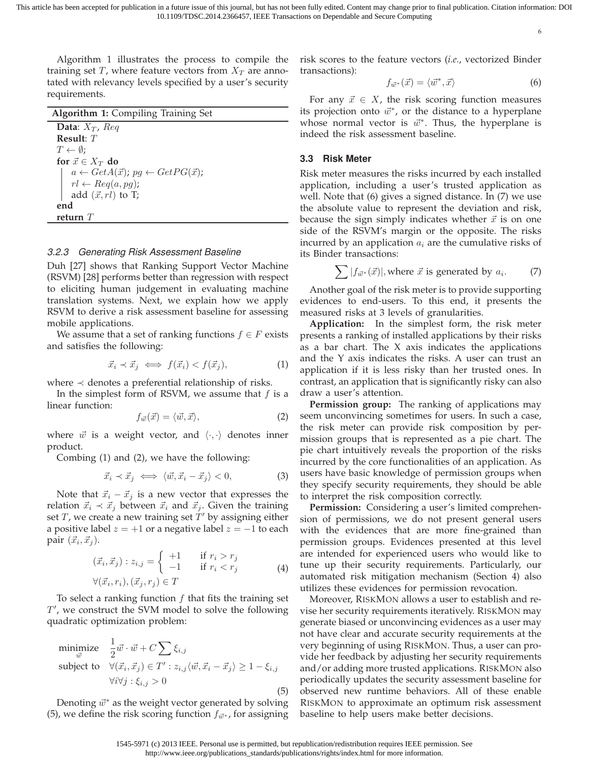6

Algorithm 1 illustrates the process to compile the training set T, where feature vectors from  $X_T$  are annotated with relevancy levels specified by a user's security requirements.

| <b>Algorithm 1: Compiling Training Set</b>                                                                              |
|-------------------------------------------------------------------------------------------------------------------------|
| Data: $X_T$ , Req                                                                                                       |
| Result: $T$                                                                                                             |
| $T \leftarrow \emptyset$ ;                                                                                              |
| for $\vec{x} \in X_T$ do                                                                                                |
| $a \leftarrow GetA(\vec{x}); pg \leftarrow GetPG(\vec{x});$<br>$rl \leftarrow Reg(a, pg);$<br>add $(\vec{x}, rl)$ to T; |
|                                                                                                                         |
|                                                                                                                         |
| end                                                                                                                     |
| refurn $T$                                                                                                              |

#### 3.2.3 Generating Risk Assessment Baseline

Duh [27] shows that Ranking Support Vector Machine (RSVM) [28] performs better than regression with respect to eliciting human judgement in evaluating machine translation systems. Next, we explain how we apply RSVM to derive a risk assessment baseline for assessing mobile applications.

We assume that a set of ranking functions  $f \in F$  exists and satisfies the following:

$$
\vec{x}_i \prec \vec{x}_j \iff f(\vec{x}_i) < f(\vec{x}_j),\tag{1}
$$

where  $\prec$  denotes a preferential relationship of risks.

In the simplest form of RSVM, we assume that  $f$  is a linear function:

$$
f_{\vec{w}}(\vec{x}) = \langle \vec{w}, \vec{x} \rangle, \tag{2}
$$

where  $\vec{w}$  is a weight vector, and  $\langle \cdot, \cdot \rangle$  denotes inner product.

Combing (1) and (2), we have the following:

$$
\vec{x}_i \prec \vec{x}_j \iff \langle \vec{w}, \vec{x}_i - \vec{x}_j \rangle < 0,\tag{3}
$$

Note that  $\vec{x}_i - \vec{x}_j$  is a new vector that expresses the relation  $\vec{x}_i \prec \vec{x}_j$  between  $\vec{x}_i$  and  $\vec{x}_j$ . Given the training set T, we create a new training set  $\tilde{T}'$  by assigning either a positive label  $z = +1$  or a negative label  $z = -1$  to each pair  $(\vec{x}_i, \vec{x}_j)$ .

$$
(\vec{x}_i, \vec{x}_j) : z_{i,j} = \begin{cases} +1 & \text{if } r_i > r_j \\ -1 & \text{if } r_i < r_j \end{cases} \tag{4}
$$
\n
$$
\forall (\vec{x}_i, r_i), (\vec{x}_j, r_j) \in T
$$

To select a ranking function  $f$  that fits the training set T ′ , we construct the SVM model to solve the following quadratic optimization problem:

$$
\begin{array}{ll}\text{minimize} & \frac{1}{2}\vec{w}\cdot\vec{w} + C\sum\xi_{i,j} \\ \text{subject to} & \forall(\vec{x}_i, \vec{x}_j) \in T': z_{i,j}\langle\vec{w}, \vec{x}_i - \vec{x}_j\rangle \ge 1 - \xi_{i,j} \\ & \forall i \forall j: \xi_{i,j} > 0 \end{array} \tag{5}
$$

Denoting  $\vec{w}^*$  as the weight vector generated by solving (5), we define the risk scoring function  $f_{\vec{w}^*}$ , for assigning risk scores to the feature vectors (*i.e.*, vectorized Binder transactions):

$$
f_{\vec{w}^*}(\vec{x}) = \langle \vec{w}^*, \vec{x} \rangle \tag{6}
$$

For any  $\vec{x} \in X$ , the risk scoring function measures its projection onto  $\vec{w}^*$ , or the distance to a hyperplane whose normal vector is  $\vec{w}^*$ . Thus, the hyperplane is indeed the risk assessment baseline.

## **3.3 Risk Meter**

Risk meter measures the risks incurred by each installed application, including a user's trusted application as well. Note that (6) gives a signed distance. In (7) we use the absolute value to represent the deviation and risk, because the sign simply indicates whether  $\vec{x}$  is on one side of the RSVM's margin or the opposite. The risks incurred by an application  $a_i$  are the cumulative risks of its Binder transactions:

$$
\sum |f_{\vec{w}^*}(\vec{x})|, \text{where } \vec{x} \text{ is generated by } a_i. \tag{7}
$$

Another goal of the risk meter is to provide supporting evidences to end-users. To this end, it presents the measured risks at 3 levels of granularities.

**Application:** In the simplest form, the risk meter presents a ranking of installed applications by their risks as a bar chart. The  $X$  axis indicates the applications and the Y axis indicates the risks. A user can trust an application if it is less risky than her trusted ones. In contrast, an application that is significantly risky can also draw a user's attention.

**Permission group:** The ranking of applications may seem unconvincing sometimes for users. In such a case, the risk meter can provide risk composition by permission groups that is represented as a pie chart. The pie chart intuitively reveals the proportion of the risks incurred by the core functionalities of an application. As users have basic knowledge of permission groups when they specify security requirements, they should be able to interpret the risk composition correctly.

**Permission:** Considering a user's limited comprehension of permissions, we do not present general users with the evidences that are more fine-grained than permission groups. Evidences presented at this level are intended for experienced users who would like to tune up their security requirements. Particularly, our automated risk mitigation mechanism (Section 4) also utilizes these evidences for permission revocation.

Moreover, RISKMON allows a user to establish and revise her security requirements iteratively. RISKMON may generate biased or unconvincing evidences as a user may not have clear and accurate security requirements at the very beginning of using RISKMON. Thus, a user can provide her feedback by adjusting her security requirements and/or adding more trusted applications. RISKMON also periodically updates the security assessment baseline for observed new runtime behaviors. All of these enable RISKMON to approximate an optimum risk assessment baseline to help users make better decisions.

<sup>1545-5971 (</sup>c) 2013 IEEE. Personal use is permitted, but republication/redistribution requires IEEE permission. See http://www.ieee.org/publications\_standards/publications/rights/index.html for more information.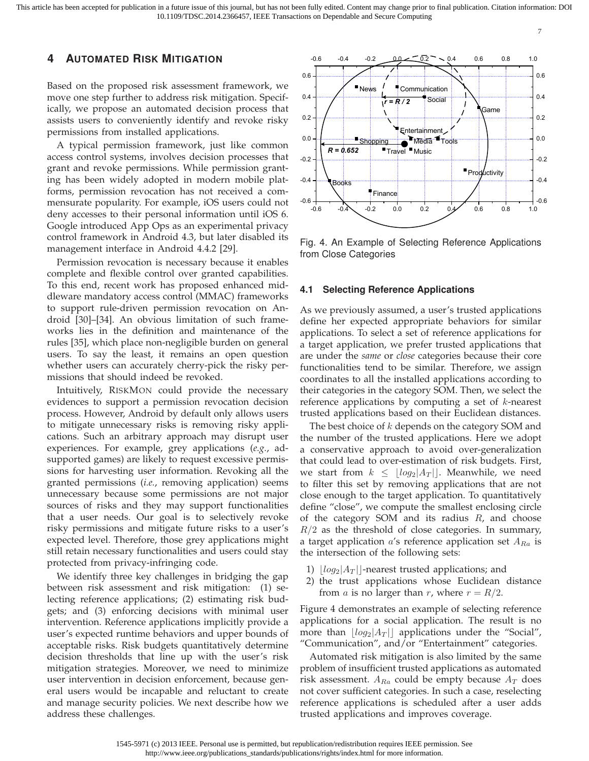7

# **4 AUTOMATED RISK MITIGATION**

Based on the proposed risk assessment framework, we move one step further to address risk mitigation. Specifically, we propose an automated decision process that assists users to conveniently identify and revoke risky permissions from installed applications.

A typical permission framework, just like common access control systems, involves decision processes that grant and revoke permissions. While permission granting has been widely adopted in modern mobile platforms, permission revocation has not received a commensurate popularity. For example, iOS users could not deny accesses to their personal information until iOS 6. Google introduced App Ops as an experimental privacy control framework in Android 4.3, but later disabled its management interface in Android 4.4.2 [29].

Permission revocation is necessary because it enables complete and flexible control over granted capabilities. To this end, recent work has proposed enhanced middleware mandatory access control (MMAC) frameworks to support rule-driven permission revocation on Android [30]–[34]. An obvious limitation of such frameworks lies in the definition and maintenance of the rules [35], which place non-negligible burden on general users. To say the least, it remains an open question whether users can accurately cherry-pick the risky permissions that should indeed be revoked.

Intuitively, RISKMON could provide the necessary evidences to support a permission revocation decision process. However, Android by default only allows users to mitigate unnecessary risks is removing risky applications. Such an arbitrary approach may disrupt user experiences. For example, grey applications (*e.g.*, adsupported games) are likely to request excessive permissions for harvesting user information. Revoking all the granted permissions (*i.e.*, removing application) seems unnecessary because some permissions are not major sources of risks and they may support functionalities that a user needs. Our goal is to selectively revoke risky permissions and mitigate future risks to a user's expected level. Therefore, those grey applications might still retain necessary functionalities and users could stay protected from privacy-infringing code.

We identify three key challenges in bridging the gap between risk assessment and risk mitigation: (1) selecting reference applications; (2) estimating risk budgets; and (3) enforcing decisions with minimal user intervention. Reference applications implicitly provide a user's expected runtime behaviors and upper bounds of acceptable risks. Risk budgets quantitatively determine decision thresholds that line up with the user's risk mitigation strategies. Moreover, we need to minimize user intervention in decision enforcement, because general users would be incapable and reluctant to create and manage security policies. We next describe how we address these challenges.



Fig. 4. An Example of Selecting Reference Applications from Close Categories

#### **4.1 Selecting Reference Applications**

As we previously assumed, a user's trusted applications define her expected appropriate behaviors for similar applications. To select a set of reference applications for a target application, we prefer trusted applications that are under the *same* or *close* categories because their core functionalities tend to be similar. Therefore, we assign coordinates to all the installed applications according to their categories in the category SOM. Then, we select the reference applications by computing a set of  $k$ -nearest trusted applications based on their Euclidean distances.

The best choice of  $k$  depends on the category SOM and the number of the trusted applications. Here we adopt a conservative approach to avoid over-generalization that could lead to over-estimation of risk budgets. First, we start from  $k \leq \lfloor log_2 |A_T| \rfloor$ . Meanwhile, we need to filter this set by removing applications that are not close enough to the target application. To quantitatively define "close", we compute the smallest enclosing circle of the category SOM and its radius  $R$ , and choose  $R/2$  as the threshold of close categories. In summary, a target application  $a$ 's reference application set  $A_{Ra}$  is the intersection of the following sets:

- 1)  $\lfloor log_2|A_T| \rfloor$ -nearest trusted applications; and
- 2) the trust applications whose Euclidean distance from *a* is no larger than *r*, where  $r = R/2$ .

Figure 4 demonstrates an example of selecting reference applications for a social application. The result is no more than  $\lfloor log_2 |A_T| \rfloor$  applications under the "Social", "Communication", and/or "Entertainment" categories.

Automated risk mitigation is also limited by the same problem of insufficient trusted applications as automated risk assessment.  $A_{Ra}$  could be empty because  $A_T$  does not cover sufficient categories. In such a case, reselecting reference applications is scheduled after a user adds trusted applications and improves coverage.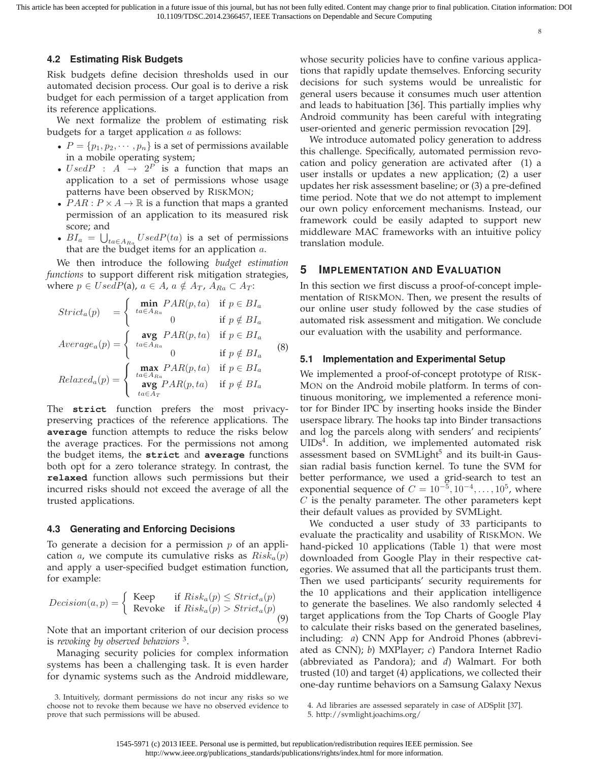8

#### **4.2 Estimating Risk Budgets**

Risk budgets define decision thresholds used in our automated decision process. Our goal is to derive a risk budget for each permission of a target application from its reference applications.

We next formalize the problem of estimating risk budgets for a target application  $a$  as follows:

- $P = \{p_1, p_2, \dots, p_n\}$  is a set of permissions available in a mobile operating system;
- $UsedP$  :  $A \rightarrow 2^P$  is a function that maps an application to a set of permissions whose usage patterns have been observed by RISKMON;
- $PAR : P \times A \rightarrow \mathbb{R}$  is a function that maps a granted permission of an application to its measured risk score; and
- $BI_a = \bigcup_{ta \in A_{Ra}} UsedP(ta)$  is a set of permissions that are the budget items for an application  $a$ .

We then introduce the following *budget estimation functions* to support different risk mitigation strategies, where  $p \in UsedP(a)$ ,  $a \in A$ ,  $a \notin A_T$ ,  $A_{Ra} \subset A_T$ :

$$
Strict_a(p) = \begin{cases} \min_{ta \in A_{Ra}} PAR(p, ta) & \text{if } p \in B I_a \\ 0 & \text{if } p \notin B I_a \end{cases}
$$
  
\n
$$
Average_a(p) = \begin{cases} \arg_{ta \in A_{Ra}} PAR(p, ta) & \text{if } p \in B I_a \\ ta \in A_{Ra} \\ 0 & \text{if } p \notin B I_a \end{cases}
$$
  
\n
$$
Relaxed_a(p) = \begin{cases} \max_{ta \in A_{Ra}} PAR(p, ta) & \text{if } p \in B I_a \\ a \text{wg } PAR(p, ta) & \text{if } p \notin B I_a \end{cases}
$$
  
\n(8)

The **strict** function prefers the most privacypreserving practices of the reference applications. The **average** function attempts to reduce the risks below the average practices. For the permissions not among the budget items, the **strict** and **average** functions both opt for a zero tolerance strategy. In contrast, the **relaxed** function allows such permissions but their incurred risks should not exceed the average of all the trusted applications.

#### **4.3 Generating and Enforcing Decisions**

To generate a decision for a permission  $p$  of an application a, we compute its cumulative risks as  $Risk_a(p)$ and apply a user-specified budget estimation function, for example:

$$
Decision(a, p) = \begin{cases} \text{Keep} & \text{if } Risk_a(p) \leq Strict_a(p) \\ \text{Revole} & \text{if } Risk_a(p) > Strict_a(p) \end{cases} \tag{9}
$$

Note that an important criterion of our decision process is *revoking by observed behaviors* <sup>3</sup> .

Managing security policies for complex information systems has been a challenging task. It is even harder for dynamic systems such as the Android middleware, whose security policies have to confine various applications that rapidly update themselves. Enforcing security decisions for such systems would be unrealistic for general users because it consumes much user attention and leads to habituation [36]. This partially implies why Android community has been careful with integrating user-oriented and generic permission revocation [29].

We introduce automated policy generation to address this challenge. Specifically, automated permission revocation and policy generation are activated after (1) a user installs or updates a new application; (2) a user updates her risk assessment baseline; or (3) a pre-defined time period. Note that we do not attempt to implement our own policy enforcement mechanisms. Instead, our framework could be easily adapted to support new middleware MAC frameworks with an intuitive policy translation module.

## **5 IMPLEMENTATION AND EVALUATION**

In this section we first discuss a proof-of-concept implementation of RISKMON. Then, we present the results of our online user study followed by the case studies of automated risk assessment and mitigation. We conclude our evaluation with the usability and performance.

#### **5.1 Implementation and Experimental Setup**

We implemented a proof-of-concept prototype of RISK-MON on the Android mobile platform. In terms of continuous monitoring, we implemented a reference monitor for Binder IPC by inserting hooks inside the Binder userspace library. The hooks tap into Binder transactions and log the parcels along with senders' and recipients'  $UIDs<sup>4</sup>$ . In addition, we implemented automated risk assessment based on  $SVMLight<sup>5</sup>$  and its built-in Gaussian radial basis function kernel. To tune the SVM for better performance, we used a grid-search to test an exponential sequence of  $C = 10^{-5}, 10^{-4}, \dots, 10^{5}$ , where  $C$  is the penalty parameter. The other parameters kept their default values as provided by SVMLight.

We conducted a user study of 33 participants to evaluate the practicality and usability of RISKMON. We hand-picked 10 applications (Table 1) that were most downloaded from Google Play in their respective categories. We assumed that all the participants trust them. Then we used participants' security requirements for the 10 applications and their application intelligence to generate the baselines. We also randomly selected 4 target applications from the Top Charts of Google Play to calculate their risks based on the generated baselines, including: *a*) CNN App for Android Phones (abbreviated as CNN); *b*) MXPlayer; *c*) Pandora Internet Radio (abbreviated as Pandora); and *d*) Walmart. For both trusted (10) and target (4) applications, we collected their one-day runtime behaviors on a Samsung Galaxy Nexus

<sup>3.</sup> Intuitively, dormant permissions do not incur any risks so we choose not to revoke them because we have no observed evidence to prove that such permissions will be abused.

<sup>4.</sup> Ad libraries are assessed separately in case of ADSplit [37].

<sup>5.</sup><http://svmlight.joachims.org/>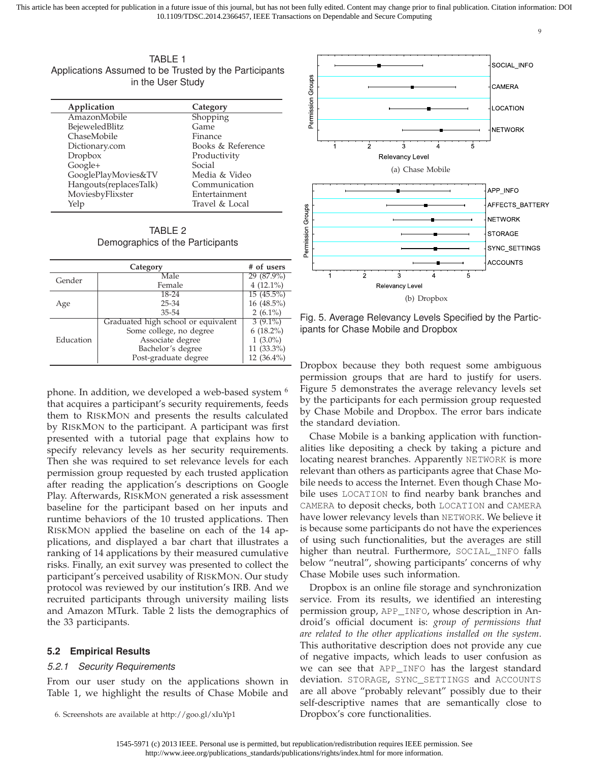9

TABLE 1 Applications Assumed to be Trusted by the Participants in the User Study

| Application            | Category          |
|------------------------|-------------------|
| AmazonMobile           | Shopping          |
| BejeweledBlitz         | Game              |
| ChaseMobile            | Finance           |
| Dictionary.com         | Books & Reference |
| Dropbox                | Productivity      |
| Google+                | Social            |
| GooglePlayMovies&TV    | Media & Video     |
| Hangouts(replacesTalk) | Communication     |
| MoviesbyFlixster       | Entertainment     |
| Yelp                   | Travel & Local    |
|                        |                   |

TABLE 2 Demographics of the Participants

|           | Category                            | # of users    |
|-----------|-------------------------------------|---------------|
| Gender    | Male                                | 29 (87.9%)    |
|           | Female                              | $4(12.1\%)$   |
|           | $18 - 24$                           | $15(45.5\%)$  |
| Age       | $25 - 34$                           | 16 (48.5%)    |
|           | 35-54                               | $2(6.1\%)$    |
|           | Graduated high school or equivalent | $3(9.1\%)$    |
|           | Some college, no degree             | $6(18.2\%)$   |
| Education | Associate degree                    | $1(3.0\%)$    |
|           | Bachelor's degree                   | $11(33.3\%)$  |
|           | Post-graduate degree                | 12 $(36.4\%)$ |

phone. In addition, we developed a web-based system <sup>6</sup> that acquires a participant's security requirements, feeds them to RISKMON and presents the results calculated by RISKMON to the participant. A participant was first presented with a tutorial page that explains how to specify relevancy levels as her security requirements. Then she was required to set relevance levels for each permission group requested by each trusted application after reading the application's descriptions on Google Play. Afterwards, RISKMON generated a risk assessment baseline for the participant based on her inputs and runtime behaviors of the 10 trusted applications. Then RISKMON applied the baseline on each of the 14 applications, and displayed a bar chart that illustrates a ranking of 14 applications by their measured cumulative risks. Finally, an exit survey was presented to collect the participant's perceived usability of RISKMON. Our study protocol was reviewed by our institution's IRB. And we recruited participants through university mailing lists and Amazon MTurk. Table 2 lists the demographics of the 33 participants.

# **5.2 Empirical Results**

# 5.2.1 Security Requirements

From our user study on the applications shown in Table 1, we highlight the results of Chase Mobile and



Fig. 5. Average Relevancy Levels Specified by the Participants for Chase Mobile and Dropbox

Dropbox because they both request some ambiguous permission groups that are hard to justify for users. Figure 5 demonstrates the average relevancy levels set by the participants for each permission group requested by Chase Mobile and Dropbox. The error bars indicate the standard deviation.

Chase Mobile is a banking application with functionalities like depositing a check by taking a picture and locating nearest branches. Apparently NETWORK is more relevant than others as participants agree that Chase Mobile needs to access the Internet. Even though Chase Mobile uses LOCATION to find nearby bank branches and CAMERA to deposit checks, both LOCATION and CAMERA have lower relevancy levels than NETWORK. We believe it is because some participants do not have the experiences of using such functionalities, but the averages are still higher than neutral. Furthermore, SOCIAL\_INFO falls below "neutral", showing participants' concerns of why Chase Mobile uses such information.

Dropbox is an online file storage and synchronization service. From its results, we identified an interesting permission group, APP\_INFO, whose description in Android's official document is: *group of permissions that are related to the other applications installed on the system*. This authoritative description does not provide any cue of negative impacts, which leads to user confusion as we can see that APP\_INFO has the largest standard deviation. STORAGE, SYNC\_SETTINGS and ACCOUNTS are all above "probably relevant" possibly due to their self-descriptive names that are semantically close to Dropbox's core functionalities.

<sup>6.</sup> Screenshots are available at<http://goo.gl/xIuYp1>

<sup>1545-5971 (</sup>c) 2013 IEEE. Personal use is permitted, but republication/redistribution requires IEEE permission. See http://www.ieee.org/publications\_standards/publications/rights/index.html for more information.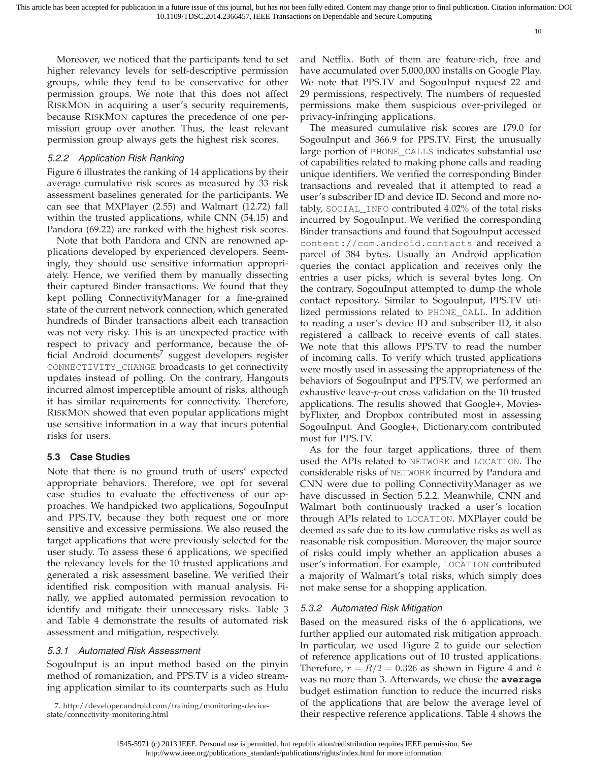Moreover, we noticed that the participants tend to set higher relevancy levels for self-descriptive permission groups, while they tend to be conservative for other permission groups. We note that this does not affect RISKMON in acquiring a user's security requirements, because RISKMON captures the precedence of one permission group over another. Thus, the least relevant permission group always gets the highest risk scores.

# 5.2.2 Application Risk Ranking

Figure 6 illustrates the ranking of 14 applications by their average cumulative risk scores as measured by 33 risk assessment baselines generated for the participants. We can see that MXPlayer (2.55) and Walmart (12.72) fall within the trusted applications, while CNN (54.15) and Pandora (69.22) are ranked with the highest risk scores.

Note that both Pandora and CNN are renowned applications developed by experienced developers. Seemingly, they should use sensitive information appropriately. Hence, we verified them by manually dissecting their captured Binder transactions. We found that they kept polling ConnectivityManager for a fine-grained state of the current network connection, which generated hundreds of Binder transactions albeit each transaction was not very risky. This is an unexpected practice with respect to privacy and performance, because the official Android documents $^7$  suggest developers register CONNECTIVITY\_CHANGE broadcasts to get connectivity updates instead of polling. On the contrary, Hangouts incurred almost imperceptible amount of risks, although it has similar requirements for connectivity. Therefore, RISKMON showed that even popular applications might use sensitive information in a way that incurs potential risks for users.

# **5.3 Case Studies**

Note that there is no ground truth of users' expected appropriate behaviors. Therefore, we opt for several case studies to evaluate the effectiveness of our approaches. We handpicked two applications, SogouInput and PPS.TV, because they both request one or more sensitive and excessive permissions. We also reused the target applications that were previously selected for the user study. To assess these 6 applications, we specified the relevancy levels for the 10 trusted applications and generated a risk assessment baseline. We verified their identified risk composition with manual analysis. Finally, we applied automated permission revocation to identify and mitigate their unnecessary risks. Table 3 and Table 4 demonstrate the results of automated risk assessment and mitigation, respectively.

# 5.3.1 Automated Risk Assessment

SogouInput is an input method based on the pinyin method of romanization, and PPS.TV is a video streaming application similar to its counterparts such as Hulu and Netflix. Both of them are feature-rich, free and have accumulated over 5,000,000 installs on Google Play. We note that PPS.TV and SogouInput request 22 and 29 permissions, respectively. The numbers of requested permissions make them suspicious over-privileged or privacy-infringing applications.

The measured cumulative risk scores are 179.0 for SogouInput and 366.9 for PPS.TV. First, the unusually large portion of PHONE\_CALLS indicates substantial use of capabilities related to making phone calls and reading unique identifiers. We verified the corresponding Binder transactions and revealed that it attempted to read a user's subscriber ID and device ID. Second and more notably, SOCIAL\_INFO contributed 4.02% of the total risks incurred by SogouInput. We verified the corresponding Binder transactions and found that SogouInput accessed content://com.android.contacts and received a parcel of 384 bytes. Usually an Android application queries the contact application and receives only the entries a user picks, which is several bytes long. On the contrary, SogouInput attempted to dump the whole contact repository. Similar to SogouInput, PPS.TV utilized permissions related to PHONE\_CALL. In addition to reading a user's device ID and subscriber ID, it also registered a callback to receive events of call states. We note that this allows PPS.TV to read the number of incoming calls. To verify which trusted applications were mostly used in assessing the appropriateness of the behaviors of SogouInput and PPS.TV, we performed an exhaustive leave-p-out cross validation on the 10 trusted applications. The results showed that Google+, MoviesbyFlixter, and Dropbox contributed most in assessing SogouInput. And Google+, Dictionary.com contributed most for PPS.TV.

As for the four target applications, three of them used the APIs related to NETWORK and LOCATION. The considerable risks of NETWORK incurred by Pandora and CNN were due to polling ConnectivityManager as we have discussed in Section 5.2.2. Meanwhile, CNN and Walmart both continuously tracked a user's location through APIs related to LOCATION. MXPlayer could be deemed as safe due to its low cumulative risks as well as reasonable risk composition. Moreover, the major source of risks could imply whether an application abuses a user's information. For example, LOCATION contributed a majority of Walmart's total risks, which simply does not make sense for a shopping application.

# 5.3.2 Automated Risk Mitigation

Based on the measured risks of the 6 applications, we further applied our automated risk mitigation approach. In particular, we used Figure 2 to guide our selection of reference applications out of 10 trusted applications. Therefore,  $r = R/2 = 0.326$  as shown in Figure 4 and k was no more than 3. Afterwards, we chose the **average** budget estimation function to reduce the incurred risks of the applications that are below the average level of their respective reference applications. Table 4 shows the

<sup>7.</sup> [http://developer.android.com/training/monitoring-device](http://developer.android.com/training/monitoring-device-state/connectivity-monitoring.html)[state/connectivity-monitoring.html](http://developer.android.com/training/monitoring-device-state/connectivity-monitoring.html)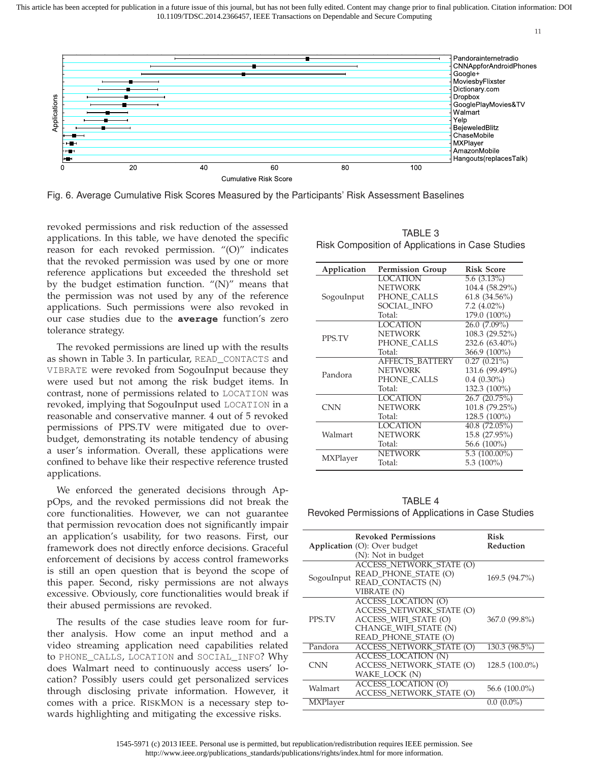11



Fig. 6. Average Cumulative Risk Scores Measured by the Participants' Risk Assessment Baselines

revoked permissions and risk reduction of the assessed applications. In this table, we have denoted the specific reason for each revoked permission. "(O)" indicates that the revoked permission was used by one or more reference applications but exceeded the threshold set by the budget estimation function. "(N)" means that the permission was not used by any of the reference applications. Such permissions were also revoked in our case studies due to the **average** function's zero tolerance strategy.

The revoked permissions are lined up with the results as shown in Table 3. In particular, READ\_CONTACTS and VIBRATE were revoked from SogouInput because they were used but not among the risk budget items. In contrast, none of permissions related to LOCATION was revoked, implying that SogouInput used LOCATION in a reasonable and conservative manner. 4 out of 5 revoked permissions of PPS.TV were mitigated due to overbudget, demonstrating its notable tendency of abusing a user's information. Overall, these applications were confined to behave like their respective reference trusted applications.

We enforced the generated decisions through AppOps, and the revoked permissions did not break the core functionalities. However, we can not guarantee that permission revocation does not significantly impair an application's usability, for two reasons. First, our framework does not directly enforce decisions. Graceful enforcement of decisions by access control frameworks is still an open question that is beyond the scope of this paper. Second, risky permissions are not always excessive. Obviously, core functionalities would break if their abused permissions are revoked.

The results of the case studies leave room for further analysis. How come an input method and a video streaming application need capabilities related to PHONE\_CALLS, LOCATION and SOCIAL\_INFO? Why does Walmart need to continuously access users' location? Possibly users could get personalized services through disclosing private information. However, it comes with a price. RISKMON is a necessary step towards highlighting and mitigating the excessive risks.

| TABLE 3                                          |  |
|--------------------------------------------------|--|
| Risk Composition of Applications in Case Studies |  |

| Application | <b>Permission Group</b> | <b>Risk Score</b> |
|-------------|-------------------------|-------------------|
|             | <b>LOCATION</b>         | $5.6(3.13\%)$     |
|             | <b>NETWORK</b>          | 104.4 (58.29%)    |
| SogouInput  | PHONE_CALLS             | $61.8(34.56\%)$   |
|             | SOCIAL INFO             | $7.2 \ (4.02\%)$  |
|             | Total:                  | 179.0 (100%)      |
|             | <b>LOCATION</b>         | 26.0 (7.09%)      |
| PPS.TV      | <b>NETWORK</b>          | 108.3 (29.52%)    |
|             | PHONE CALLS             | 232.6 (63.40%)    |
|             | Total:                  | 366.9 (100%)      |
|             | <b>AFFECTS BATTERY</b>  | $0.27(0.21\%)$    |
| Pandora     | <b>NETWORK</b>          | 131.6 (99.49%)    |
|             | PHONE CALLS             | $0.4$ $(0.30\%)$  |
|             | Total:                  | 132.3 (100%)      |
|             | <b>LOCATION</b>         | 26.7(20.75%)      |
| <b>CNN</b>  | <b>NETWORK</b>          | 101.8 (79.25%)    |
|             | Total:                  | 128.5 (100%)      |
|             | LOCATION                | 40.8(72.05%)      |
| Walmart     | <b>NETWORK</b>          | 15.8 (27.95%)     |
|             | Total:                  | 56.6 (100%)       |
|             | NETWORK                 | $5.3(100.00\%)$   |
| MXPlayer    | Total:                  | 5.3 $(100\%)$     |

TABLE 4 Revoked Permissions of Applications in Case Studies

|            | <b>Revoked Permissions</b>      | <b>Risk</b>      |
|------------|---------------------------------|------------------|
|            | Application (O): Over budget    | Reduction        |
|            | (N): Not in budget              |                  |
|            | <b>ACCESS NETWORK STATE (O)</b> |                  |
|            | READ_PHONE_STATE (O)            |                  |
| SogouInput | READ CONTACTS (N)               | 169.5 (94.7%)    |
|            | <b>VIBRATE (N)</b>              |                  |
|            | <b>ACCESS LOCATION (O)</b>      |                  |
|            | ACCESS NETWORK STATE (O)        |                  |
| PPS.TV     | ACCESS WIFI STATE (O)           | 367.0 (99.8%)    |
|            | CHANGE WIFI STATE (N)           |                  |
|            | READ_PHONE_STATE (O)            |                  |
| Pandora    | <b>ACCESS NETWORK STATE (O)</b> | 130.3 (98.5%)    |
|            | <b>ACCESS LOCATION (N)</b>      |                  |
| CNN        | <b>ACCESS_NETWORK_STATE (O)</b> | $128.5(100.0\%)$ |
|            | WAKE LOCK (N)                   |                  |
| Walmart    | <b>ACCESS_LOCATION (O)</b>      | 56.6 (100.0%)    |
|            | ACCESS_NETWORK_STATE (O)        |                  |
| MXPlayer   |                                 | $0.0(0.0\%)$     |

<sup>1545-5971 (</sup>c) 2013 IEEE. Personal use is permitted, but republication/redistribution requires IEEE permission. See http://www.ieee.org/publications\_standards/publications/rights/index.html for more information.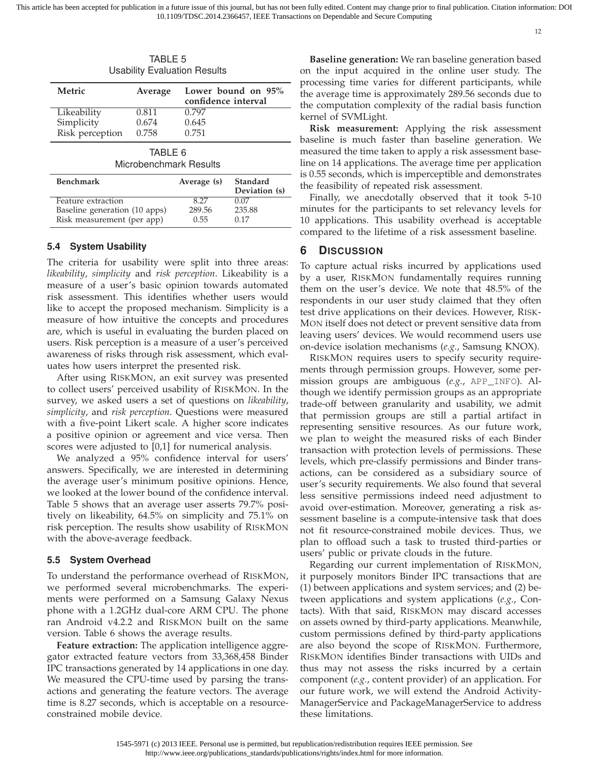12

| <b>TABLE 5</b><br><b>Usability Evaluation Results</b> |         |                                           |  |
|-------------------------------------------------------|---------|-------------------------------------------|--|
| Metric                                                | Average | Lower bound on 95%<br>confidence interval |  |
| Likeability                                           | 0.811   | 0.797                                     |  |
| Simplicity                                            | 0.674   | 0.645                                     |  |
| Risk perception                                       | 0.758   | 0.751                                     |  |
| TABLE 6                                               |         |                                           |  |

| Microbenchmark Results |
|------------------------|
|                        |

| <b>Benchmark</b>              | Average (s) | Standard<br>Deviation (s) |
|-------------------------------|-------------|---------------------------|
| Feature extraction            | 8.27        | 0.07                      |
| Baseline generation (10 apps) | 289.56      | 235.88                    |
| Risk measurement (per app)    | 0.55        | 0.17                      |

## **5.4 System Usability**

The criteria for usability were split into three areas: *likeability*, *simplicity* and *risk perception*. Likeability is a measure of a user's basic opinion towards automated risk assessment. This identifies whether users would like to accept the proposed mechanism. Simplicity is a measure of how intuitive the concepts and procedures are, which is useful in evaluating the burden placed on users. Risk perception is a measure of a user's perceived awareness of risks through risk assessment, which evaluates how users interpret the presented risk.

After using RISKMON, an exit survey was presented to collect users' perceived usability of RISKMON. In the survey, we asked users a set of questions on *likeability*, *simplicity*, and *risk perception*. Questions were measured with a five-point Likert scale. A higher score indicates a positive opinion or agreement and vice versa. Then scores were adjusted to [0,1] for numerical analysis.

We analyzed a 95% confidence interval for users' answers. Specifically, we are interested in determining the average user's minimum positive opinions. Hence, we looked at the lower bound of the confidence interval. Table 5 shows that an average user asserts 79.7% positively on likeability, 64.5% on simplicity and 75.1% on risk perception. The results show usability of RISKMON with the above-average feedback.

## **5.5 System Overhead**

To understand the performance overhead of RISKMON, we performed several microbenchmarks. The experiments were performed on a Samsung Galaxy Nexus phone with a 1.2GHz dual-core ARM CPU. The phone ran Android v4.2.2 and RISKMON built on the same version. Table 6 shows the average results.

**Feature extraction:** The application intelligence aggregator extracted feature vectors from 33,368,458 Binder IPC transactions generated by 14 applications in one day. We measured the CPU-time used by parsing the transactions and generating the feature vectors. The average time is 8.27 seconds, which is acceptable on a resourceconstrained mobile device.

**Baseline generation:** We ran baseline generation based on the input acquired in the online user study. The processing time varies for different participants, while the average time is approximately 289.56 seconds due to the computation complexity of the radial basis function kernel of SVMLight.

**Risk measurement:** Applying the risk assessment baseline is much faster than baseline generation. We measured the time taken to apply a risk assessment baseline on 14 applications. The average time per application is 0.55 seconds, which is imperceptible and demonstrates the feasibility of repeated risk assessment.

Finally, we anecdotally observed that it took 5-10 minutes for the participants to set relevancy levels for 10 applications. This usability overhead is acceptable compared to the lifetime of a risk assessment baseline.

## **6 DISCUSSION**

To capture actual risks incurred by applications used by a user, RISKMON fundamentally requires running them on the user's device. We note that 48.5% of the respondents in our user study claimed that they often test drive applications on their devices. However, RISK-MON itself does not detect or prevent sensitive data from leaving users' devices. We would recommend users use on-device isolation mechanisms (*e.g.*, Samsung KNOX).

RISKMON requires users to specify security requirements through permission groups. However, some permission groups are ambiguous (*e.g.*, APP\_INFO). Although we identify permission groups as an appropriate trade-off between granularity and usability, we admit that permission groups are still a partial artifact in representing sensitive resources. As our future work, we plan to weight the measured risks of each Binder transaction with protection levels of permissions. These levels, which pre-classify permissions and Binder transactions, can be considered as a subsidiary source of user's security requirements. We also found that several less sensitive permissions indeed need adjustment to avoid over-estimation. Moreover, generating a risk assessment baseline is a compute-intensive task that does not fit resource-constrained mobile devices. Thus, we plan to offload such a task to trusted third-parties or users' public or private clouds in the future.

Regarding our current implementation of RISKMON, it purposely monitors Binder IPC transactions that are (1) between applications and system services; and (2) between applications and system applications (*e.g.*, Contacts). With that said, RISKMON may discard accesses on assets owned by third-party applications. Meanwhile, custom permissions defined by third-party applications are also beyond the scope of RISKMON. Furthermore, RISKMON identifies Binder transactions with UIDs and thus may not assess the risks incurred by a certain component (*e.g.*, content provider) of an application. For our future work, we will extend the Android Activity-ManagerService and PackageManagerService to address these limitations.

1545-5971 (c) 2013 IEEE. Personal use is permitted, but republication/redistribution requires IEEE permission. See http://www.ieee.org/publications\_standards/publications/rights/index.html for more information.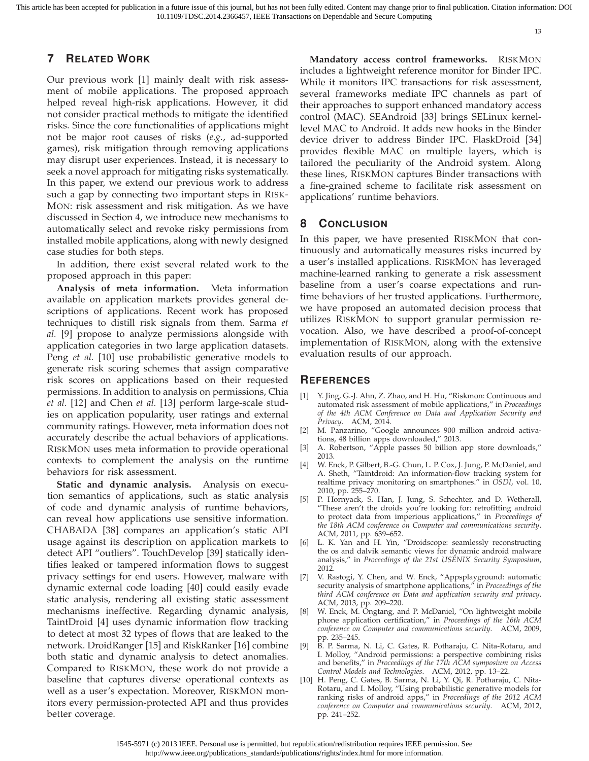# **7 RELATED WORK**

Our previous work [1] mainly dealt with risk assessment of mobile applications. The proposed approach helped reveal high-risk applications. However, it did not consider practical methods to mitigate the identified risks. Since the core functionalities of applications might not be major root causes of risks (*e.g.*, ad-supported games), risk mitigation through removing applications may disrupt user experiences. Instead, it is necessary to seek a novel approach for mitigating risks systematically. In this paper, we extend our previous work to address such a gap by connecting two important steps in RISK-MON: risk assessment and risk mitigation. As we have discussed in Section 4, we introduce new mechanisms to automatically select and revoke risky permissions from installed mobile applications, along with newly designed case studies for both steps.

In addition, there exist several related work to the proposed approach in this paper:

**Analysis of meta information.** Meta information available on application markets provides general descriptions of applications. Recent work has proposed techniques to distill risk signals from them. Sarma *et al.* [9] propose to analyze permissions alongside with application categories in two large application datasets. Peng *et al.* [10] use probabilistic generative models to generate risk scoring schemes that assign comparative risk scores on applications based on their requested permissions. In addition to analysis on permissions, Chia *et al.* [12] and Chen *et al.* [13] perform large-scale studies on application popularity, user ratings and external community ratings. However, meta information does not accurately describe the actual behaviors of applications. RISKMON uses meta information to provide operational contexts to complement the analysis on the runtime behaviors for risk assessment.

**Static and dynamic analysis.** Analysis on execution semantics of applications, such as static analysis of code and dynamic analysis of runtime behaviors, can reveal how applications use sensitive information. CHABADA [38] compares an application's static API usage against its description on application markets to detect API "outliers". TouchDevelop [39] statically identifies leaked or tampered information flows to suggest privacy settings for end users. However, malware with dynamic external code loading [40] could easily evade static analysis, rendering all existing static assessment mechanisms ineffective. Regarding dynamic analysis, TaintDroid [4] uses dynamic information flow tracking to detect at most 32 types of flows that are leaked to the network. DroidRanger [15] and RiskRanker [16] combine both static and dynamic analysis to detect anomalies. Compared to RISKMON, these work do not provide a baseline that captures diverse operational contexts as well as a user's expectation. Moreover, RISKMON monitors every permission-protected API and thus provides better coverage.

**Mandatory access control frameworks.** RISKMON includes a lightweight reference monitor for Binder IPC. While it monitors IPC transactions for risk assessment, several frameworks mediate IPC channels as part of their approaches to support enhanced mandatory access control (MAC). SEAndroid [33] brings SELinux kernellevel MAC to Android. It adds new hooks in the Binder device driver to address Binder IPC. FlaskDroid [34] provides flexible MAC on multiple layers, which is tailored the peculiarity of the Android system. Along these lines, RISKMON captures Binder transactions with a fine-grained scheme to facilitate risk assessment on applications' runtime behaviors.

## **8 CONCLUSION**

In this paper, we have presented RISKMON that continuously and automatically measures risks incurred by a user's installed applications. RISKMON has leveraged machine-learned ranking to generate a risk assessment baseline from a user's coarse expectations and runtime behaviors of her trusted applications. Furthermore, we have proposed an automated decision process that utilizes RISKMON to support granular permission revocation. Also, we have described a proof-of-concept implementation of RISKMON, along with the extensive evaluation results of our approach.

#### **REFERENCES**

- [1] Y. Jing, G.-J. Ahn, Z. Zhao, and H. Hu, "Riskmon: Continuous and automated risk assessment of mobile applications," in *Proceedings of the 4th ACM Conference on Data and Application Security and Privacy*. ACM, 2014.
- [2] M. Panzarino, "Google announces 900 million android activations, 48 billion apps downloaded," 2013.
- [3] A. Robertson, "Apple passes 50 billion app store downloads," 2013.
- [4] W. Enck, P. Gilbert, B.-G. Chun, L. P. Cox, J. Jung, P. McDaniel, and A. Sheth, "Taintdroid: An information-flow tracking system for realtime privacy monitoring on smartphones." in *OSDI*, vol. 10, 2010, pp. 255–270.
- [5] P. Hornyack, S. Han, J. Jung, S. Schechter, and D. Wetherall, "These aren't the droids you're looking for: retrofitting android to protect data from imperious applications," in *Proceedings of the 18th ACM conference on Computer and communications security*. ACM, 2011, pp. 639–652.
- [6] L. K. Yan and H. Yin, "Droidscope: seamlessly reconstructing the os and dalvik semantic views for dynamic android malware analysis," in *Proceedings of the 21st USENIX Security Symposium*, 2012.
- [7] V. Rastogi, Y. Chen, and W. Enck, "Appsplayground: automatic security analysis of smartphone applications," in *Proceedings of the third ACM conference on Data and application security and privacy*. ACM, 2013, pp. 209–220.
- W. Enck, M. Ongtang, and P. McDaniel, "On lightweight mobile phone application certification," in *Proceedings of the 16th ACM conference on Computer and communications security*. ACM, 2009, pp. 235–245.
- [9] B. P. Sarma, N. Li, C. Gates, R. Potharaju, C. Nita-Rotaru, and I. Molloy, "Android permissions: a perspective combining risks and benefits," in *Proceedings of the 17th ACM symposium on Access Control Models and Technologies*. ACM, 2012, pp. 13–22.
- [10] H. Peng, C. Gates, B. Sarma, N. Li, Y. Qi, R. Potharaju, C. Nita-Rotaru, and I. Molloy, "Using probabilistic generative models for ranking risks of android apps," in *Proceedings of the 2012 ACM conference on Computer and communications security*. ACM, 2012, pp. 241–252.